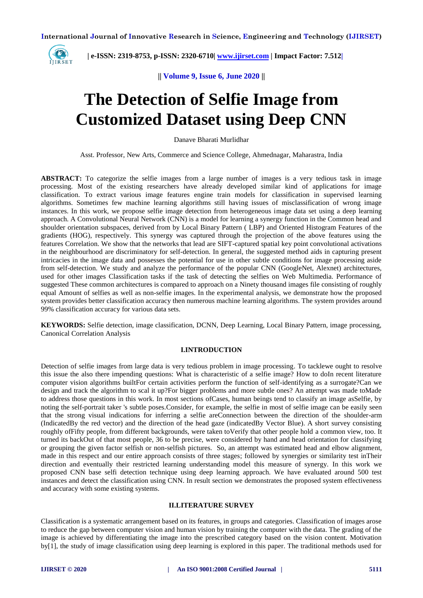

 **| e-ISSN: 2319-8753, p-ISSN: 2320-6710[| www.ijirset.com](http://www.ijirset.com/) | Impact Factor: 7.512|**

**|| Volume 9, Issue 6, June 2020 ||**

# **The Detection of Selfie Image from Customized Dataset using Deep CNN**

Danave Bharati Murlidhar

Asst. Professor, New Arts, Commerce and Science College, Ahmednagar, Maharastra, India

**ABSTRACT:** To categorize the selfie images from a large number of images is a very tedious task in image processing. Most of the existing researchers have already developed similar kind of applications for image classification. To extract various image features engine train models for classification in supervised learning algorithms. Sometimes few machine learning algorithms still having issues of misclassification of wrong image instances. In this work, we propose selfie image detection from heterogeneous image data set using a deep learning approach. A Convolutional Neural Network (CNN) is a model for learning a synergy function in the Common head and shoulder orientation subspaces, derived from by Local Binary Pattern ( LBP) and Oriented Histogram Features of the gradients (HOG), respectively. This synergy was captured through the projection of the above features using the features Correlation. We show that the networks that lead are SIFT-captured spatial key point convolutional activations in the neighbourhood are discriminatory for self-detection. In general, the suggested method aids in capturing present intricacies in the image data and possesses the potential for use in other subtle conditions for image processing aside from self-detection. We study and analyze the performance of the popular CNN (GoogleNet, Alexnet) architectures, used for other images Classification tasks if the task of detecting the selfies on Web Multimedia. Performance of suggested These common architectures is compared to approach on a Ninety thousand images file consisting of roughly equal Amount of selfies as well as non-selfie images. In the experimental analysis, we demonstrate how the proposed system provides better classification accuracy then numerous machine learning algorithms. The system provides around 99% classification accuracy for various data sets.

**KEYWORDS:** Selfie detection, image classification, DCNN, Deep Learning, Local Binary Pattern, image processing, Canonical Correlation Analysis

# **I.INTRODUCTION**

Detection of selfie images from large data is very tedious problem in image processing. To tacklewe ought to resolve this issue the also there impending questions: What is characteristic of a selfie image? How to doIn recent literature computer vision algorithms builtFor certain activities perform the function of self-identifying as a surrogate?Can we design and track the algorithm to scal it up?For bigger problems and more subtle ones? An attempt was made toMade to address those questions in this work. In most sections ofCases, human beings tend to classify an image asSelfie, by noting the self-portrait taker 's subtle poses.Consider, for example, the selfie in most of selfie image can be easily seen that the strong visual indications for inferring a selfie areConnection between the direction of the shoulder-arm (IndicatedBy the red vector) and the direction of the head gaze (indicatedBy Vector Blue). A short survey consisting roughly ofFifty people, from different backgrounds, were taken toVerify that other people hold a common view, too. It turned its backOut of that most people, 36 to be precise, were considered by hand and head orientation for classifying or grouping the given factor selfish or non-selfish pictures. So, an attempt was estimated head and elbow alignment, made in this respect and our entire approach consists of three stages; followed by synergies or similarity test inTheir direction and eventually their restricted learning understanding model this measure of synergy. In this work we proposed CNN base selfi detection technique using deep learning approach. We have evaluated around 500 test instances and detect the classification using CNN. In result section we demonstrates the proposed system effectiveness and accuracy with some existing systems.

### **II.LITERATURE SURVEY**

Classification is a systematic arrangement based on its features, in groups and categories. Classification of images arose to reduce the gap between computer vision and human vision by training the computer with the data. The grading of the image is achieved by differentiating the image into the prescribed category based on the vision content. Motivation by[1], the study of image classification using deep learning is explored in this paper. The traditional methods used for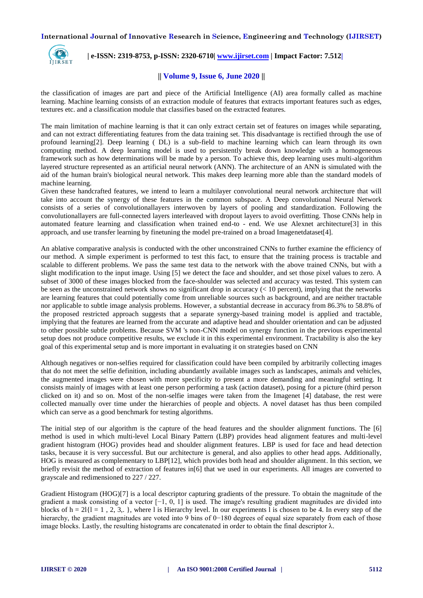

 **| e-ISSN: 2319-8753, p-ISSN: 2320-6710[| www.ijirset.com](http://www.ijirset.com/) | Impact Factor: 7.512|**

# **|| Volume 9, Issue 6, June 2020 ||**

the classification of images are part and piece of the Artificial Intelligence (AI) area formally called as machine learning. Machine learning consists of an extraction module of features that extracts important features such as edges, textures etc. and a classification module that classifies based on the extracted features.

The main limitation of machine learning is that it can only extract certain set of features on images while separating, and can not extract differentiating features from the data training set. This disadvantage is rectified through the use of profound learning[2]. Deep learning ( DL) is a sub-field to machine learning which can learn through its own computing method. A deep learning model is used to persistently break down knowledge with a homogeneous framework such as how determinations will be made by a person. To achieve this, deep learning uses multi-algorithm layered structure represented as an artificial neural network (ANN). The architecture of an ANN is simulated with the aid of the human brain's biological neural network. This makes deep learning more able than the standard models of machine learning.

Given these handcrafted features, we intend to learn a multilayer convolutional neural network architecture that will take into account the synergy of these features in the common subspace. A Deep convolutional Neural Network consists of a series of convolutionallayers interwoven by layers of pooling and standardization. Following the convolutionallayers are full-connected layers interleaved with dropout layers to avoid overfitting. Those CNNs help in automated feature learning and classification when trained end-to - end. We use Alexnet architecture[3] in this approach, and use transfer learning by finetuning the model pre-trained on a broad Imagenetdataset[4].

An ablative comparative analysis is conducted with the other unconstrained CNNs to further examine the efficiency of our method. A simple experiment is performed to test this fact, to ensure that the training process is tractable and scalable to different problems. We pass the same test data to the network with the above trained CNNs, but with a slight modification to the input image. Using [5] we detect the face and shoulder, and set those pixel values to zero. A subset of 3000 of these images blocked from the face-shoulder was selected and accuracy was tested. This system can be seen as the unconstrained network shows no significant drop in accuracy  $\ll 10$  percent), implying that the networks are learning features that could potentially come from unreliable sources such as background, and are neither tractable nor applicable to subtle image analysis problems. However, a substantial decrease in accuracy from 86.3% to 58.8% of the proposed restricted approach suggests that a separate synergy-based training model is applied and tractable, implying that the features are learned from the accurate and adaptive head and shoulder orientation and can be adjusted to other possible subtle problems. Because SVM 's non-CNN model on synergy function in the previous experimental setup does not produce competitive results, we exclude it in this experimental environment. Tractability is also the key goal of this experimental setup and is more important in evaluating it on strategies based on CNN

Although negatives or non-selfies required for classification could have been compiled by arbitrarily collecting images that do not meet the selfie definition, including abundantly available images such as landscapes, animals and vehicles, the augmented images were chosen with more specificity to present a more demanding and meaningful setting. It consists mainly of images with at least one person performing a task (action dataset), posing for a picture (third person clicked on it) and so on. Most of the non-selfie images were taken from the Imagenet [4] database, the rest were collected manually over time under the hierarchies of people and objects. A novel dataset has thus been compiled which can serve as a good benchmark for testing algorithms.

The initial step of our algorithm is the capture of the head features and the shoulder alignment functions. The [6] method is used in which multi-level Local Binary Pattern (LBP) provides head alignment features and multi-level gradient histogram (HOG) provides head and shoulder alignment features. LBP is used for face and head detection tasks, because it is very successful. But our architecture is general, and also applies to other head apps. Additionally, HOG is measured as complementary to LBP[12], which provides both head and shoulder alignment. In this section, we briefly revisit the method of extraction of features in[6] that we used in our experiments. All images are converted to grayscale and redimensioned to 227 / 227.

Gradient Histogram (HOG)[7] is a local descriptor capturing gradients of the pressure. To obtain the magnitude of the gradient a mask consisting of a vector  $[-1, 0, 1]$  is used. The image's resulting gradient magnitudes are divided into blocks of  $h = 2$ { $l = 1, 2, 3,$ }, where l is Hierarchy level. In our experiments l is chosen to be 4. In every step of the hierarchy, the gradient magnitudes are voted into 9 bins of 0−180 degrees of equal size separately from each of those image blocks. Lastly, the resulting histograms are concatenated in order to obtain the final descriptor  $\lambda$ .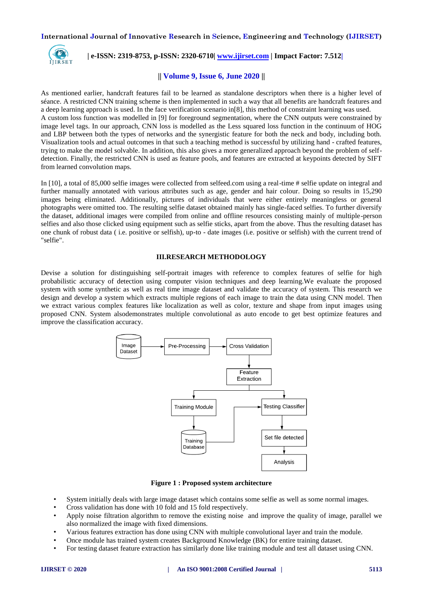

 **| e-ISSN: 2319-8753, p-ISSN: 2320-6710[| www.ijirset.com](http://www.ijirset.com/) | Impact Factor: 7.512|**

# **|| Volume 9, Issue 6, June 2020 ||**

As mentioned earlier, handcraft features fail to be learned as standalone descriptors when there is a higher level of séance. A restricted CNN training scheme is then implemented in such a way that all benefits are handcraft features and a deep learning approach is used. In the face verification scenario in[8], this method of constraint learning was used. A custom loss function was modelled in [9] for foreground segmentation, where the CNN outputs were constrained by image level tags. In our approach, CNN loss is modelled as the Less squared loss function in the continuum of HOG and LBP between both the types of networks and the synergistic feature for both the neck and body, including both. Visualization tools and actual outcomes in that such a teaching method is successful by utilizing hand - crafted features, trying to make the model solvable. In addition, this also gives a more generalized approach beyond the problem of selfdetection. Finally, the restricted CNN is used as feature pools, and features are extracted at keypoints detected by SIFT from learned convolution maps.

In [10], a total of 85,000 selfie images were collected from selfeed.com using a real-time # selfie update on integral and further manually annotated with various attributes such as age, gender and hair colour. Doing so results in 15,290 images being eliminated. Additionally, pictures of individuals that were either entirely meaningless or general photographs were omitted too. The resulting selfie dataset obtained mainly has single-faced selfies. To further diversify the dataset, additional images were compiled from online and offline resources consisting mainly of multiple-person selfies and also those clicked using equipment such as selfie sticks, apart from the above. Thus the resulting dataset has one chunk of robust data ( i.e. positive or selfish), up-to - date images (i.e. positive or selfish) with the current trend of "selfie".

#### **III.RESEARCH METHODOLOGY**

Devise a solution for distinguishing self-portrait images with reference to complex features of selfie for high probabilistic accuracy of detection using computer vision techniques and deep learning.We evaluate the proposed system with some synthetic as well as real time image dataset and validate the accuracy of system. This research we design and develop a system which extracts multiple regions of each image to train the data using CNN model. Then we extract various complex features like localization as well as color, texture and shape from input images using proposed CNN. System alsodemonstrates multiple convolutional as auto encode to get best optimize features and improve the classification accuracy.



**Figure 1 : Proposed system architecture**

- System initially deals with large image dataset which contains some selfie as well as some normal images.
- Cross validation has done with 10 fold and 15 fold respectively.
- Apply noise filtration algorithm to remove the existing noise and improve the quality of image, parallel we also normalized the image with fixed dimensions.
- Various features extraction has done using CNN with multiple convolutional layer and train the module.
- Once module has trained system creates Background Knowledge (BK) for entire training dataset.
- For testing dataset feature extraction has similarly done like training module and test all dataset using CNN.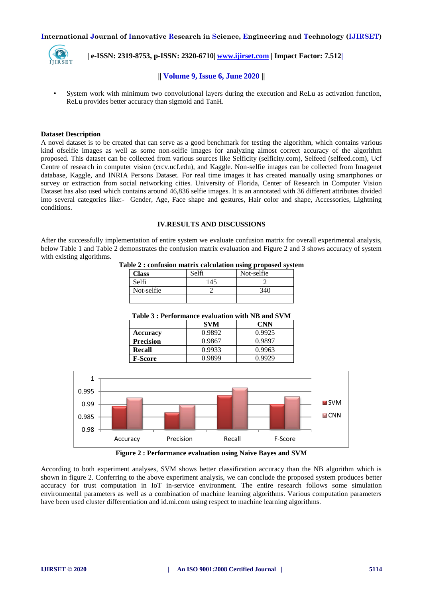

 **| e-ISSN: 2319-8753, p-ISSN: 2320-6710[| www.ijirset.com](http://www.ijirset.com/) | Impact Factor: 7.512|**

# **|| Volume 9, Issue 6, June 2020 ||**

• System work with minimum two convolutional layers during the execution and ReLu as activation function, ReLu provides better accuracy than sigmoid and TanH.

#### **Dataset Description**

A novel dataset is to be created that can serve as a good benchmark for testing the algorithm, which contains various kind ofselfie images as well as some non-selfie images for analyzing almost correct accuracy of the algorithm proposed. This dataset can be collected from various sources like Selficity (selficity.com), Selfeed (selfeed.com), Ucf Centre of research in computer vision (crcv.ucf.edu), and Kaggle. Non-selfie images can be collected from Imagenet database, Kaggle, and INRIA Persons Dataset. For real time images it has created manually using smartphones or survey or extraction from social networking cities. University of Florida, Center of Research in Computer Vision Dataset has also used which contains around 46,836 selfie images. It is an annotated with 36 different attributes divided into several categories like:- Gender, Age, Face shape and gestures, Hair color and shape, Accessories, Lightning conditions.

# **IV.RESULTS AND DISCUSSIONS**

After the successfully implementation of entire system we evaluate confusion matrix for overall experimental analysis, below Table 1 and Table 2 demonstrates the confusion matrix evaluation and Figure 2 and 3 shows accuracy of system with existing algorithms.

**Table 2 : confusion matrix calculation using proposed system**

| Class      | Selfi | Not-selfie |
|------------|-------|------------|
| Selfi      | 145   |            |
| Not-selfie |       | 340        |
|            |       |            |

#### **Table 3 : Performance evaluation with NB and SVM**

|                  | <b>SVM</b> | CNN    |
|------------------|------------|--------|
| Accuracy         | 0.9892     | 0.9925 |
| <b>Precision</b> | 0.9867     | 0.9897 |
| <b>Recall</b>    | 0.9933     | 0.9963 |
| <b>F-Score</b>   | 0 9899     | በ 9929 |



**Figure 2 : Performance evaluation using Naïve Bayes and SVM**

According to both experiment analyses, SVM shows better classification accuracy than the NB algorithm which is shown in figure 2. Conferring to the above experiment analysis, we can conclude the proposed system produces better accuracy for trust computation in IoT in-service environment. The entire research follows some simulation environmental parameters as well as a combination of machine learning algorithms. Various computation parameters have been used cluster differentiation and id.mi.com using respect to machine learning algorithms.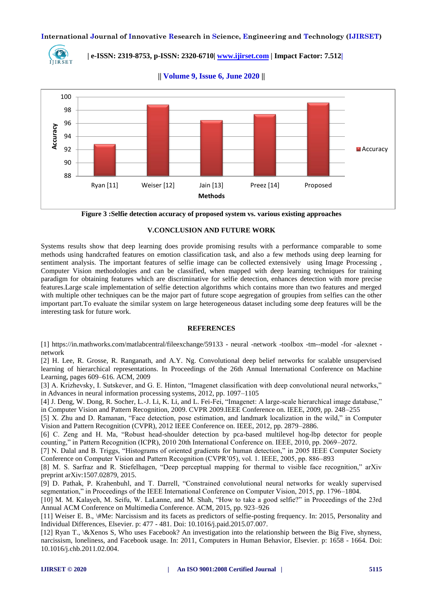

 **| e-ISSN: 2319-8753, p-ISSN: 2320-6710[| www.ijirset.com](http://www.ijirset.com/) | Impact Factor: 7.512|**



**|| Volume 9, Issue 6, June 2020 ||**



## **V.CONCLUSION AND FUTURE WORK**

Systems results show that deep learning does provide promising results with a performance comparable to some methods using handcrafted features on emotion classification task, and also a few methods using deep learning for sentiment analysis. The important features of selfie image can be collected extensively using Image Processing , Computer Vision methodologies and can be classified, when mapped with deep learning techniques for training paradigm for obtaining features which are discriminative for selfie detection, enhances detection with more precise features.Large scale implementation of selfie detection algorithms which contains more than two features and merged with multiple other techniques can be the major part of future scope aegregation of groupies from selfies can the other important part.To evaluate the similar system on large heterogeneous dataset including some deep features will be the interesting task for future work.

#### **REFERENCES**

[1] https://in.mathworks.com/matlabcentral/fileexchange/59133 - neural -network -toolbox -tm--model -for -alexnet network

[2] H. Lee, R. Grosse, R. Ranganath, and A.Y. Ng. Convolutional deep belief networks for scalable unsupervised learning of hierarchical representations. In Proceedings of the 26th Annual International Conference on Machine Learning, pages 609–616. ACM, 2009

[3] A. Krizhevsky, I. Sutskever, and G. E. Hinton, "Imagenet classification with deep convolutional neural networks," in Advances in neural information processing systems, 2012, pp. 1097–1105

[4] J. Deng, W. Dong, R. Socher, L.-J. Li, K. Li, and L. Fei-Fei, "Imagenet: A large-scale hierarchical image database," in Computer Vision and Pattern Recognition, 2009. CVPR 2009.IEEE Conference on. IEEE, 2009, pp. 248–255

[5] X. Zhu and D. Ramanan, "Face detection, pose estimation, and landmark localization in the wild," in Computer Vision and Pattern Recognition (CVPR), 2012 IEEE Conference on. IEEE, 2012, pp. 2879–2886.

[6] C. Zeng and H. Ma, "Robust head-shoulder detection by pca-based multilevel hog-lbp detector for people counting," in Pattern Recognition (ICPR), 2010 20th International Conference on. IEEE, 2010, pp. 2069–2072.

[7] N. Dalal and B. Triggs, "Histograms of oriented gradients for human detection," in 2005 IEEE Computer Society Conference on Computer Vision and Pattern Recognition (CVPR'05), vol. 1. IEEE, 2005, pp. 886–893

[8] M. S. Sarfraz and R. Stiefelhagen, "Deep perceptual mapping for thermal to visible face recognition," arXiv preprint arXiv:1507.02879, 2015.

[9] D. Pathak, P. Krahenbuhl, and T. Darrell, "Constrained convolutional neural networks for weakly supervised segmentation," in Proceedings of the IEEE International Conference on Computer Vision, 2015, pp. 1796–1804.

[10] M. M. Kalayeh, M. Seifu, W. LaLanne, and M. Shah, "How to take a good selfie?" in Proceedings of the 23rd Annual ACM Conference on Multimedia Conference. ACM, 2015, pp. 923–926

[11] Weiser E. B., \#Me: Narcissism and its facets as predictors of selfie-posting frequency. In: 2015, Personality and Individual Differences, Elsevier. p: 477 - 481. Doi: 10.1016/j.paid.2015.07.007.

[12] Ryan T., \&Xenos S, Who uses Facebook? An investigation into the relationship between the Big Five, shyness, narcissism, loneliness, and Facebook usage. In: 2011, Computers in Human Behavior, Elsevier. p: 1658 - 1664. Doi: 10.1016/j.chb.2011.02.004.